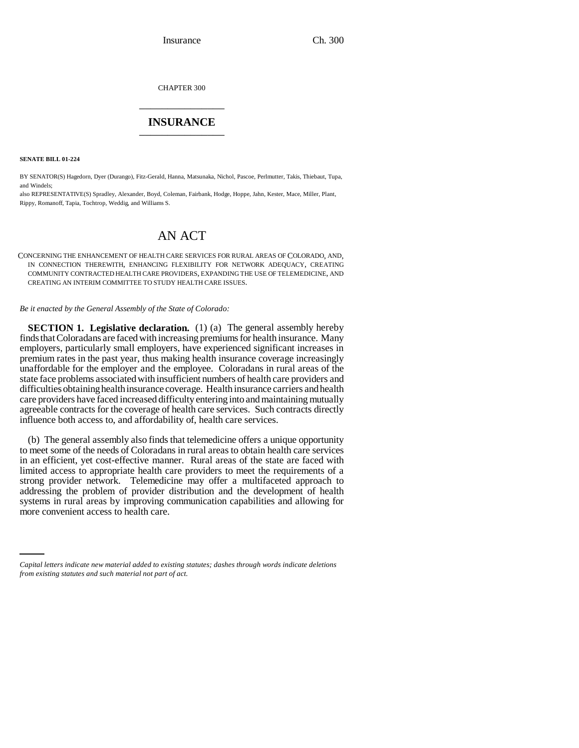CHAPTER 300 \_\_\_\_\_\_\_\_\_\_\_\_\_\_\_

# **INSURANCE** \_\_\_\_\_\_\_\_\_\_\_\_\_\_\_

**SENATE BILL 01-224**

BY SENATOR(S) Hagedorn, Dyer (Durango), Fitz-Gerald, Hanna, Matsunaka, Nichol, Pascoe, Perlmutter, Takis, Thiebaut, Tupa, and Windels;

also REPRESENTATIVE(S) Spradley, Alexander, Boyd, Coleman, Fairbank, Hodge, Hoppe, Jahn, Kester, Mace, Miller, Plant, Rippy, Romanoff, Tapia, Tochtrop, Weddig, and Williams S.

# AN ACT

CONCERNING THE ENHANCEMENT OF HEALTH CARE SERVICES FOR RURAL AREAS OF COLORADO, AND, IN CONNECTION THEREWITH, ENHANCING FLEXIBILITY FOR NETWORK ADEQUACY, CREATING COMMUNITY CONTRACTED HEALTH CARE PROVIDERS, EXPANDING THE USE OF TELEMEDICINE, AND CREATING AN INTERIM COMMITTEE TO STUDY HEALTH CARE ISSUES.

*Be it enacted by the General Assembly of the State of Colorado:*

**SECTION 1. Legislative declaration.** (1) (a) The general assembly hereby finds that Coloradans are faced with increasing premiums for health insurance. Many employers, particularly small employers, have experienced significant increases in premium rates in the past year, thus making health insurance coverage increasingly unaffordable for the employer and the employee. Coloradans in rural areas of the state face problems associated with insufficient numbers of health care providers and difficulties obtaining health insurance coverage. Health insurance carriers and health care providers have faced increased difficulty entering into and maintaining mutually agreeable contracts for the coverage of health care services. Such contracts directly influence both access to, and affordability of, health care services.

systems in rural areas by improving communication capabilities and allowing for (b) The general assembly also finds that telemedicine offers a unique opportunity to meet some of the needs of Coloradans in rural areas to obtain health care services in an efficient, yet cost-effective manner. Rural areas of the state are faced with limited access to appropriate health care providers to meet the requirements of a strong provider network. Telemedicine may offer a multifaceted approach to addressing the problem of provider distribution and the development of health more convenient access to health care.

*Capital letters indicate new material added to existing statutes; dashes through words indicate deletions from existing statutes and such material not part of act.*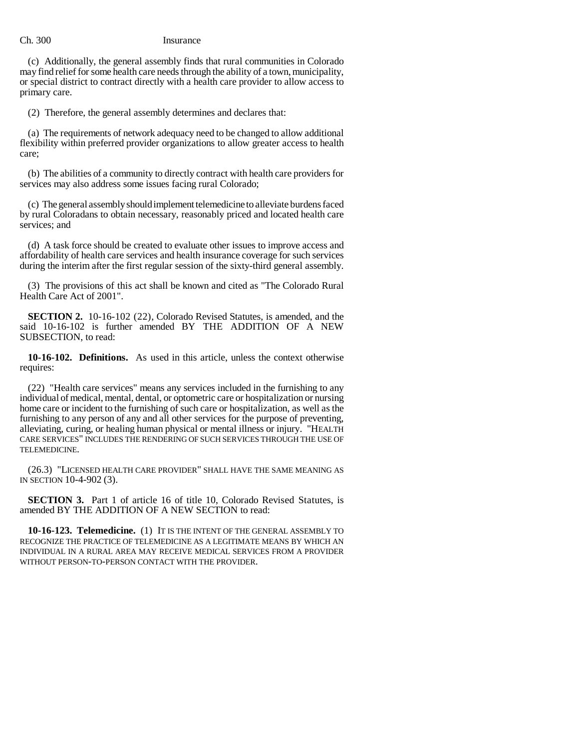(c) Additionally, the general assembly finds that rural communities in Colorado may find relief for some health care needs through the ability of a town, municipality, or special district to contract directly with a health care provider to allow access to primary care.

(2) Therefore, the general assembly determines and declares that:

(a) The requirements of network adequacy need to be changed to allow additional flexibility within preferred provider organizations to allow greater access to health care;

(b) The abilities of a community to directly contract with health care providers for services may also address some issues facing rural Colorado;

(c) The general assembly should implement telemedicine to alleviate burdens faced by rural Coloradans to obtain necessary, reasonably priced and located health care services; and

(d) A task force should be created to evaluate other issues to improve access and affordability of health care services and health insurance coverage for such services during the interim after the first regular session of the sixty-third general assembly.

(3) The provisions of this act shall be known and cited as "The Colorado Rural Health Care Act of 2001".

**SECTION 2.** 10-16-102 (22), Colorado Revised Statutes, is amended, and the said 10-16-102 is further amended BY THE ADDITION OF A NEW SUBSECTION, to read:

**10-16-102. Definitions.** As used in this article, unless the context otherwise requires:

(22) "Health care services" means any services included in the furnishing to any individual of medical, mental, dental, or optometric care or hospitalization or nursing home care or incident to the furnishing of such care or hospitalization, as well as the furnishing to any person of any and all other services for the purpose of preventing, alleviating, curing, or healing human physical or mental illness or injury. "HEALTH CARE SERVICES" INCLUDES THE RENDERING OF SUCH SERVICES THROUGH THE USE OF TELEMEDICINE.

(26.3) "LICENSED HEALTH CARE PROVIDER" SHALL HAVE THE SAME MEANING AS IN SECTION 10-4-902 (3).

**SECTION 3.** Part 1 of article 16 of title 10, Colorado Revised Statutes, is amended BY THE ADDITION OF A NEW SECTION to read:

**10-16-123. Telemedicine.** (1) IT IS THE INTENT OF THE GENERAL ASSEMBLY TO RECOGNIZE THE PRACTICE OF TELEMEDICINE AS A LEGITIMATE MEANS BY WHICH AN INDIVIDUAL IN A RURAL AREA MAY RECEIVE MEDICAL SERVICES FROM A PROVIDER WITHOUT PERSON-TO-PERSON CONTACT WITH THE PROVIDER.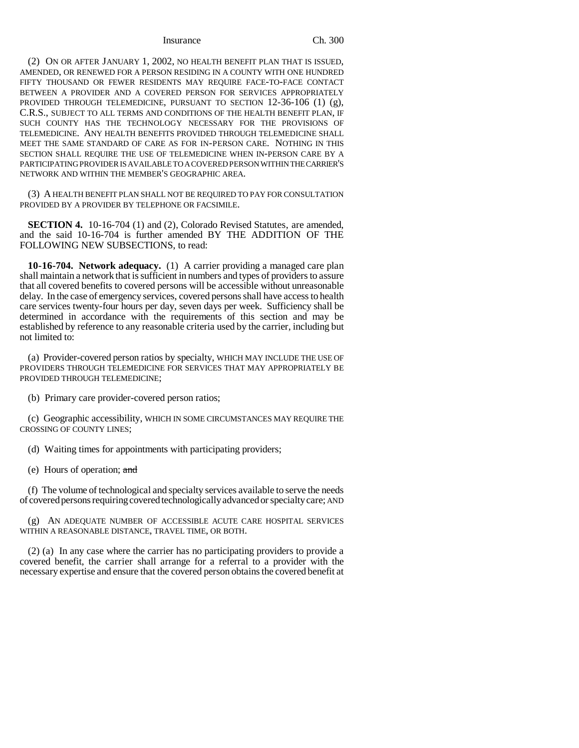Insurance Ch. 300

(2) ON OR AFTER JANUARY 1, 2002, NO HEALTH BENEFIT PLAN THAT IS ISSUED, AMENDED, OR RENEWED FOR A PERSON RESIDING IN A COUNTY WITH ONE HUNDRED FIFTY THOUSAND OR FEWER RESIDENTS MAY REQUIRE FACE-TO-FACE CONTACT BETWEEN A PROVIDER AND A COVERED PERSON FOR SERVICES APPROPRIATELY PROVIDED THROUGH TELEMEDICINE, PURSUANT TO SECTION 12-36-106 (1) (g), C.R.S., SUBJECT TO ALL TERMS AND CONDITIONS OF THE HEALTH BENEFIT PLAN, IF SUCH COUNTY HAS THE TECHNOLOGY NECESSARY FOR THE PROVISIONS OF TELEMEDICINE. ANY HEALTH BENEFITS PROVIDED THROUGH TELEMEDICINE SHALL MEET THE SAME STANDARD OF CARE AS FOR IN-PERSON CARE. NOTHING IN THIS SECTION SHALL REQUIRE THE USE OF TELEMEDICINE WHEN IN-PERSON CARE BY A PARTICIPATING PROVIDER IS AVAILABLE TO A COVERED PERSON WITHIN THE CARRIER'S NETWORK AND WITHIN THE MEMBER'S GEOGRAPHIC AREA.

(3) A HEALTH BENEFIT PLAN SHALL NOT BE REQUIRED TO PAY FOR CONSULTATION PROVIDED BY A PROVIDER BY TELEPHONE OR FACSIMILE.

**SECTION 4.** 10-16-704 (1) and (2), Colorado Revised Statutes, are amended, and the said 10-16-704 is further amended BY THE ADDITION OF THE FOLLOWING NEW SUBSECTIONS, to read:

**10-16-704. Network adequacy.** (1) A carrier providing a managed care plan shall maintain a network that is sufficient in numbers and types of providers to assure that all covered benefits to covered persons will be accessible without unreasonable delay. In the case of emergency services, covered persons shall have access to health care services twenty-four hours per day, seven days per week. Sufficiency shall be determined in accordance with the requirements of this section and may be established by reference to any reasonable criteria used by the carrier, including but not limited to:

(a) Provider-covered person ratios by specialty, WHICH MAY INCLUDE THE USE OF PROVIDERS THROUGH TELEMEDICINE FOR SERVICES THAT MAY APPROPRIATELY BE PROVIDED THROUGH TELEMEDICINE;

(b) Primary care provider-covered person ratios;

(c) Geographic accessibility, WHICH IN SOME CIRCUMSTANCES MAY REQUIRE THE CROSSING OF COUNTY LINES;

(d) Waiting times for appointments with participating providers;

(e) Hours of operation;  $\alpha$ nd

(f) The volume of technological and specialty services available to serve the needs of covered persons requiring covered technologically advanced or specialty care; AND

(g) AN ADEQUATE NUMBER OF ACCESSIBLE ACUTE CARE HOSPITAL SERVICES WITHIN A REASONABLE DISTANCE, TRAVEL TIME, OR BOTH.

(2) (a) In any case where the carrier has no participating providers to provide a covered benefit, the carrier shall arrange for a referral to a provider with the necessary expertise and ensure that the covered person obtains the covered benefit at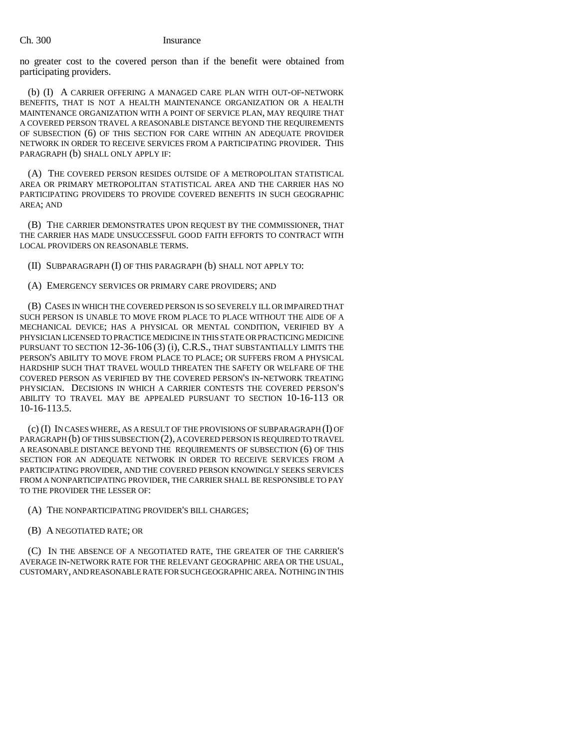no greater cost to the covered person than if the benefit were obtained from participating providers.

(b) (I) A CARRIER OFFERING A MANAGED CARE PLAN WITH OUT-OF-NETWORK BENEFITS, THAT IS NOT A HEALTH MAINTENANCE ORGANIZATION OR A HEALTH MAINTENANCE ORGANIZATION WITH A POINT OF SERVICE PLAN, MAY REQUIRE THAT A COVERED PERSON TRAVEL A REASONABLE DISTANCE BEYOND THE REQUIREMENTS OF SUBSECTION (6) OF THIS SECTION FOR CARE WITHIN AN ADEQUATE PROVIDER NETWORK IN ORDER TO RECEIVE SERVICES FROM A PARTICIPATING PROVIDER. THIS PARAGRAPH (b) SHALL ONLY APPLY IF:

(A) THE COVERED PERSON RESIDES OUTSIDE OF A METROPOLITAN STATISTICAL AREA OR PRIMARY METROPOLITAN STATISTICAL AREA AND THE CARRIER HAS NO PARTICIPATING PROVIDERS TO PROVIDE COVERED BENEFITS IN SUCH GEOGRAPHIC AREA; AND

(B) THE CARRIER DEMONSTRATES UPON REQUEST BY THE COMMISSIONER, THAT THE CARRIER HAS MADE UNSUCCESSFUL GOOD FAITH EFFORTS TO CONTRACT WITH LOCAL PROVIDERS ON REASONABLE TERMS.

(II) SUBPARAGRAPH (I) OF THIS PARAGRAPH (b) SHALL NOT APPLY TO:

(A) EMERGENCY SERVICES OR PRIMARY CARE PROVIDERS; AND

(B) CASES IN WHICH THE COVERED PERSON IS SO SEVERELY ILL OR IMPAIRED THAT SUCH PERSON IS UNABLE TO MOVE FROM PLACE TO PLACE WITHOUT THE AIDE OF A MECHANICAL DEVICE; HAS A PHYSICAL OR MENTAL CONDITION, VERIFIED BY A PHYSICIAN LICENSED TO PRACTICE MEDICINE IN THIS STATE OR PRACTICING MEDICINE PURSUANT TO SECTION 12-36-106 (3) (i), C.R.S., THAT SUBSTANTIALLY LIMITS THE PERSON'S ABILITY TO MOVE FROM PLACE TO PLACE; OR SUFFERS FROM A PHYSICAL HARDSHIP SUCH THAT TRAVEL WOULD THREATEN THE SAFETY OR WELFARE OF THE COVERED PERSON AS VERIFIED BY THE COVERED PERSON'S IN-NETWORK TREATING PHYSICIAN. DECISIONS IN WHICH A CARRIER CONTESTS THE COVERED PERSON'S ABILITY TO TRAVEL MAY BE APPEALED PURSUANT TO SECTION 10-16-113 OR 10-16-113.5.

(c) (I) IN CASES WHERE, AS A RESULT OF THE PROVISIONS OF SUBPARAGRAPH (I) OF PARAGRAPH (b) OF THIS SUBSECTION (2), A COVERED PERSON IS REQUIRED TO TRAVEL A REASONABLE DISTANCE BEYOND THE REQUIREMENTS OF SUBSECTION (6) OF THIS SECTION FOR AN ADEQUATE NETWORK IN ORDER TO RECEIVE SERVICES FROM A PARTICIPATING PROVIDER, AND THE COVERED PERSON KNOWINGLY SEEKS SERVICES FROM A NONPARTICIPATING PROVIDER, THE CARRIER SHALL BE RESPONSIBLE TO PAY TO THE PROVIDER THE LESSER OF:

- (A) THE NONPARTICIPATING PROVIDER'S BILL CHARGES;
- (B) A NEGOTIATED RATE; OR

(C) IN THE ABSENCE OF A NEGOTIATED RATE, THE GREATER OF THE CARRIER'S AVERAGE IN-NETWORK RATE FOR THE RELEVANT GEOGRAPHIC AREA OR THE USUAL, CUSTOMARY, AND REASONABLE RATE FOR SUCH GEOGRAPHIC AREA. NOTHING IN THIS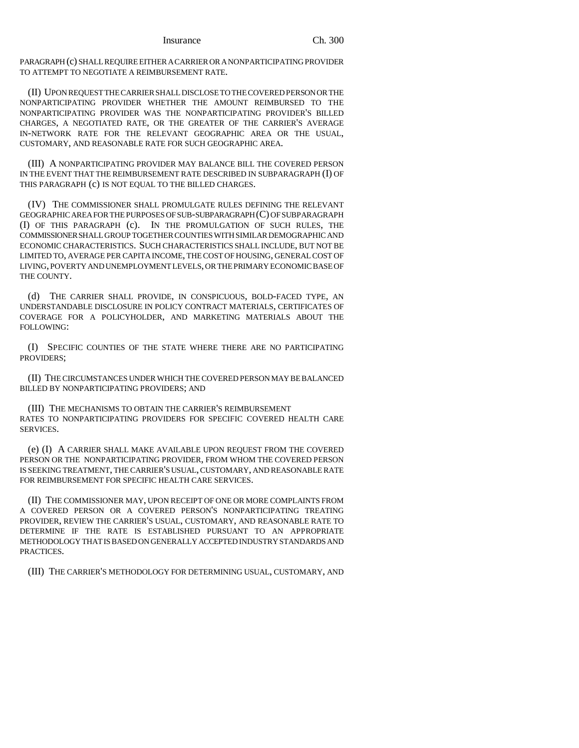Insurance Ch. 300

PARAGRAPH (c) SHALL REQUIRE EITHER A CARRIER OR A NONPARTICIPATING PROVIDER TO ATTEMPT TO NEGOTIATE A REIMBURSEMENT RATE.

(II) UPON REQUEST THE CARRIER SHALL DISCLOSE TO THE COVERED PERSON OR THE NONPARTICIPATING PROVIDER WHETHER THE AMOUNT REIMBURSED TO THE NONPARTICIPATING PROVIDER WAS THE NONPARTICIPATING PROVIDER'S BILLED CHARGES, A NEGOTIATED RATE, OR THE GREATER OF THE CARRIER'S AVERAGE IN-NETWORK RATE FOR THE RELEVANT GEOGRAPHIC AREA OR THE USUAL, CUSTOMARY, AND REASONABLE RATE FOR SUCH GEOGRAPHIC AREA.

(III) A NONPARTICIPATING PROVIDER MAY BALANCE BILL THE COVERED PERSON IN THE EVENT THAT THE REIMBURSEMENT RATE DESCRIBED IN SUBPARAGRAPH (I) OF THIS PARAGRAPH (c) IS NOT EQUAL TO THE BILLED CHARGES.

(IV) THE COMMISSIONER SHALL PROMULGATE RULES DEFINING THE RELEVANT GEOGRAPHIC AREA FOR THE PURPOSES OF SUB-SUBPARAGRAPH (C) OF SUBPARAGRAPH (I) OF THIS PARAGRAPH (c). IN THE PROMULGATION OF SUCH RULES, THE COMMISSIONER SHALL GROUP TOGETHER COUNTIES WITH SIMILAR DEMOGRAPHIC AND ECONOMIC CHARACTERISTICS. SUCH CHARACTERISTICS SHALL INCLUDE, BUT NOT BE LIMITED TO, AVERAGE PER CAPITA INCOME, THE COST OF HOUSING, GENERAL COST OF LIVING, POVERTY AND UNEMPLOYMENT LEVELS, OR THE PRIMARY ECONOMIC BASE OF THE COUNTY.

(d) THE CARRIER SHALL PROVIDE, IN CONSPICUOUS, BOLD-FACED TYPE, AN UNDERSTANDABLE DISCLOSURE IN POLICY CONTRACT MATERIALS, CERTIFICATES OF COVERAGE FOR A POLICYHOLDER, AND MARKETING MATERIALS ABOUT THE FOLLOWING:

(I) SPECIFIC COUNTIES OF THE STATE WHERE THERE ARE NO PARTICIPATING PROVIDERS;

(II) THE CIRCUMSTANCES UNDER WHICH THE COVERED PERSON MAY BE BALANCED BILLED BY NONPARTICIPATING PROVIDERS; AND

(III) THE MECHANISMS TO OBTAIN THE CARRIER'S REIMBURSEMENT RATES TO NONPARTICIPATING PROVIDERS FOR SPECIFIC COVERED HEALTH CARE SERVICES.

(e) (I) A CARRIER SHALL MAKE AVAILABLE UPON REQUEST FROM THE COVERED PERSON OR THE NONPARTICIPATING PROVIDER, FROM WHOM THE COVERED PERSON IS SEEKING TREATMENT, THE CARRIER'S USUAL, CUSTOMARY, AND REASONABLE RATE FOR REIMBURSEMENT FOR SPECIFIC HEALTH CARE SERVICES.

(II) THE COMMISSIONER MAY, UPON RECEIPT OF ONE OR MORE COMPLAINTS FROM A COVERED PERSON OR A COVERED PERSON'S NONPARTICIPATING TREATING PROVIDER, REVIEW THE CARRIER'S USUAL, CUSTOMARY, AND REASONABLE RATE TO DETERMINE IF THE RATE IS ESTABLISHED PURSUANT TO AN APPROPRIATE METHODOLOGY THAT IS BASED ON GENERALLY ACCEPTED INDUSTRY STANDARDS AND PRACTICES.

(III) THE CARRIER'S METHODOLOGY FOR DETERMINING USUAL, CUSTOMARY, AND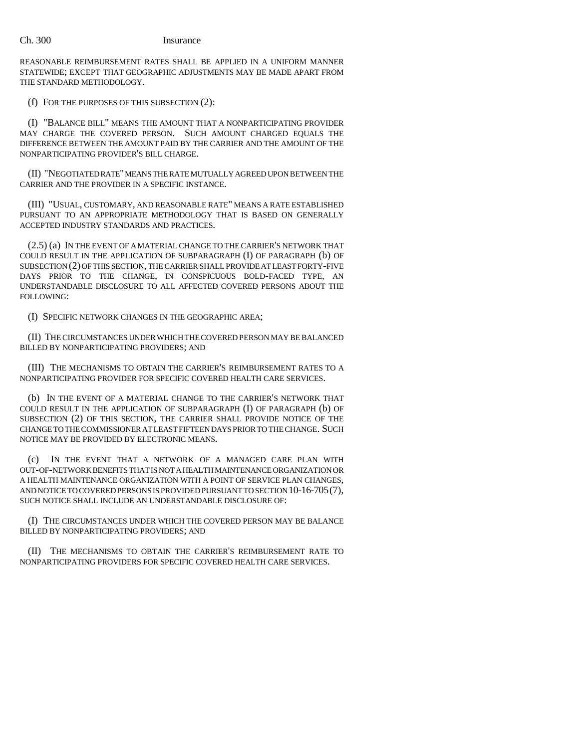REASONABLE REIMBURSEMENT RATES SHALL BE APPLIED IN A UNIFORM MANNER STATEWIDE; EXCEPT THAT GEOGRAPHIC ADJUSTMENTS MAY BE MADE APART FROM THE STANDARD METHODOLOGY.

(f) FOR THE PURPOSES OF THIS SUBSECTION (2):

(I) "BALANCE BILL" MEANS THE AMOUNT THAT A NONPARTICIPATING PROVIDER MAY CHARGE THE COVERED PERSON. SUCH AMOUNT CHARGED EQUALS THE DIFFERENCE BETWEEN THE AMOUNT PAID BY THE CARRIER AND THE AMOUNT OF THE NONPARTICIPATING PROVIDER'S BILL CHARGE.

(II) "NEGOTIATED RATE" MEANS THE RATE MUTUALLY AGREED UPON BETWEEN THE CARRIER AND THE PROVIDER IN A SPECIFIC INSTANCE.

(III) "USUAL, CUSTOMARY, AND REASONABLE RATE" MEANS A RATE ESTABLISHED PURSUANT TO AN APPROPRIATE METHODOLOGY THAT IS BASED ON GENERALLY ACCEPTED INDUSTRY STANDARDS AND PRACTICES.

(2.5) (a) IN THE EVENT OF A MATERIAL CHANGE TO THE CARRIER'S NETWORK THAT COULD RESULT IN THE APPLICATION OF SUBPARAGRAPH (I) OF PARAGRAPH (b) OF SUBSECTION (2) OF THIS SECTION, THE CARRIER SHALL PROVIDE AT LEAST FORTY-FIVE DAYS PRIOR TO THE CHANGE, IN CONSPICUOUS BOLD-FACED TYPE, AN UNDERSTANDABLE DISCLOSURE TO ALL AFFECTED COVERED PERSONS ABOUT THE FOLLOWING:

(I) SPECIFIC NETWORK CHANGES IN THE GEOGRAPHIC AREA;

(II) THE CIRCUMSTANCES UNDER WHICH THE COVERED PERSON MAY BE BALANCED BILLED BY NONPARTICIPATING PROVIDERS; AND

(III) THE MECHANISMS TO OBTAIN THE CARRIER'S REIMBURSEMENT RATES TO A NONPARTICIPATING PROVIDER FOR SPECIFIC COVERED HEALTH CARE SERVICES.

(b) IN THE EVENT OF A MATERIAL CHANGE TO THE CARRIER'S NETWORK THAT COULD RESULT IN THE APPLICATION OF SUBPARAGRAPH (I) OF PARAGRAPH (b) OF SUBSECTION (2) OF THIS SECTION, THE CARRIER SHALL PROVIDE NOTICE OF THE CHANGE TO THE COMMISSIONER AT LEAST FIFTEEN DAYS PRIOR TO THE CHANGE. SUCH NOTICE MAY BE PROVIDED BY ELECTRONIC MEANS.

(c) IN THE EVENT THAT A NETWORK OF A MANAGED CARE PLAN WITH OUT-OF-NETWORK BENEFITS THAT IS NOT A HEALTH MAINTENANCE ORGANIZATION OR A HEALTH MAINTENANCE ORGANIZATION WITH A POINT OF SERVICE PLAN CHANGES, AND NOTICE TO COVERED PERSONS IS PROVIDED PURSUANT TO SECTION 10-16-705(7), SUCH NOTICE SHALL INCLUDE AN UNDERSTANDABLE DISCLOSURE OF:

(I) THE CIRCUMSTANCES UNDER WHICH THE COVERED PERSON MAY BE BALANCE BILLED BY NONPARTICIPATING PROVIDERS; AND

(II) THE MECHANISMS TO OBTAIN THE CARRIER'S REIMBURSEMENT RATE TO NONPARTICIPATING PROVIDERS FOR SPECIFIC COVERED HEALTH CARE SERVICES.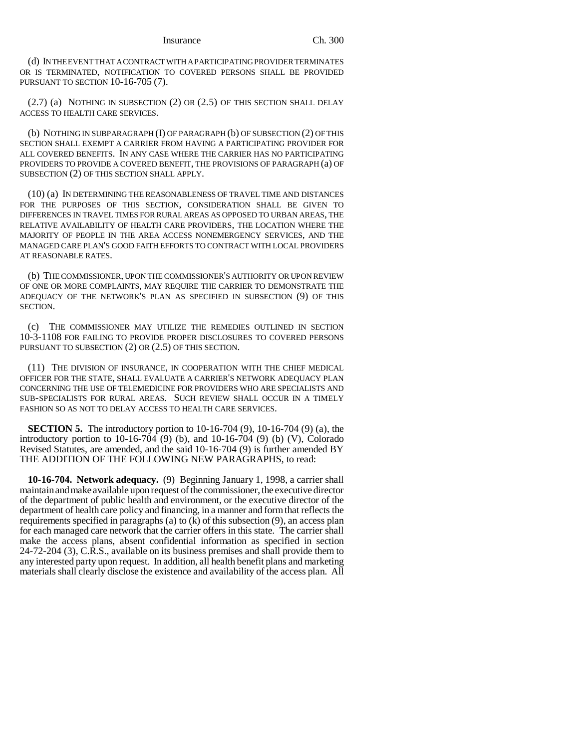(d) IN THE EVENT THAT A CONTRACT WITH A PARTICIPATING PROVIDER TERMINATES OR IS TERMINATED, NOTIFICATION TO COVERED PERSONS SHALL BE PROVIDED PURSUANT TO SECTION 10-16-705 (7).

 $(2.7)$  (a) NOTHING IN SUBSECTION  $(2)$  OR  $(2.5)$  OF THIS SECTION SHALL DELAY ACCESS TO HEALTH CARE SERVICES.

(b) NOTHING IN SUBPARAGRAPH (I) OF PARAGRAPH (b) OF SUBSECTION (2) OF THIS SECTION SHALL EXEMPT A CARRIER FROM HAVING A PARTICIPATING PROVIDER FOR ALL COVERED BENEFITS. IN ANY CASE WHERE THE CARRIER HAS NO PARTICIPATING PROVIDERS TO PROVIDE A COVERED BENEFIT, THE PROVISIONS OF PARAGRAPH (a) OF SUBSECTION (2) OF THIS SECTION SHALL APPLY.

(10) (a) IN DETERMINING THE REASONABLENESS OF TRAVEL TIME AND DISTANCES FOR THE PURPOSES OF THIS SECTION, CONSIDERATION SHALL BE GIVEN TO DIFFERENCES IN TRAVEL TIMES FOR RURAL AREAS AS OPPOSED TO URBAN AREAS, THE RELATIVE AVAILABILITY OF HEALTH CARE PROVIDERS, THE LOCATION WHERE THE MAJORITY OF PEOPLE IN THE AREA ACCESS NONEMERGENCY SERVICES, AND THE MANAGED CARE PLAN'S GOOD FAITH EFFORTS TO CONTRACT WITH LOCAL PROVIDERS AT REASONABLE RATES.

(b) THE COMMISSIONER, UPON THE COMMISSIONER'S AUTHORITY OR UPON REVIEW OF ONE OR MORE COMPLAINTS, MAY REQUIRE THE CARRIER TO DEMONSTRATE THE ADEQUACY OF THE NETWORK'S PLAN AS SPECIFIED IN SUBSECTION (9) OF THIS SECTION.

(c) THE COMMISSIONER MAY UTILIZE THE REMEDIES OUTLINED IN SECTION 10-3-1108 FOR FAILING TO PROVIDE PROPER DISCLOSURES TO COVERED PERSONS PURSUANT TO SUBSECTION (2) OR (2.5) OF THIS SECTION.

(11) THE DIVISION OF INSURANCE, IN COOPERATION WITH THE CHIEF MEDICAL OFFICER FOR THE STATE, SHALL EVALUATE A CARRIER'S NETWORK ADEQUACY PLAN CONCERNING THE USE OF TELEMEDICINE FOR PROVIDERS WHO ARE SPECIALISTS AND SUB-SPECIALISTS FOR RURAL AREAS. SUCH REVIEW SHALL OCCUR IN A TIMELY FASHION SO AS NOT TO DELAY ACCESS TO HEALTH CARE SERVICES.

**SECTION 5.** The introductory portion to 10-16-704 (9), 10-16-704 (9) (a), the introductory portion to 10-16-704 (9) (b), and 10-16-704 (9) (b) (V), Colorado Revised Statutes, are amended, and the said 10-16-704 (9) is further amended BY THE ADDITION OF THE FOLLOWING NEW PARAGRAPHS, to read:

**10-16-704. Network adequacy.** (9) Beginning January 1, 1998, a carrier shall maintain and make available upon request of the commissioner, the executive director of the department of public health and environment, or the executive director of the department of health care policy and financing, in a manner and form that reflects the requirements specified in paragraphs (a) to (k) of this subsection (9), an access plan for each managed care network that the carrier offers in this state. The carrier shall make the access plans, absent confidential information as specified in section 24-72-204 (3), C.R.S., available on its business premises and shall provide them to any interested party upon request. In addition, all health benefit plans and marketing materials shall clearly disclose the existence and availability of the access plan. All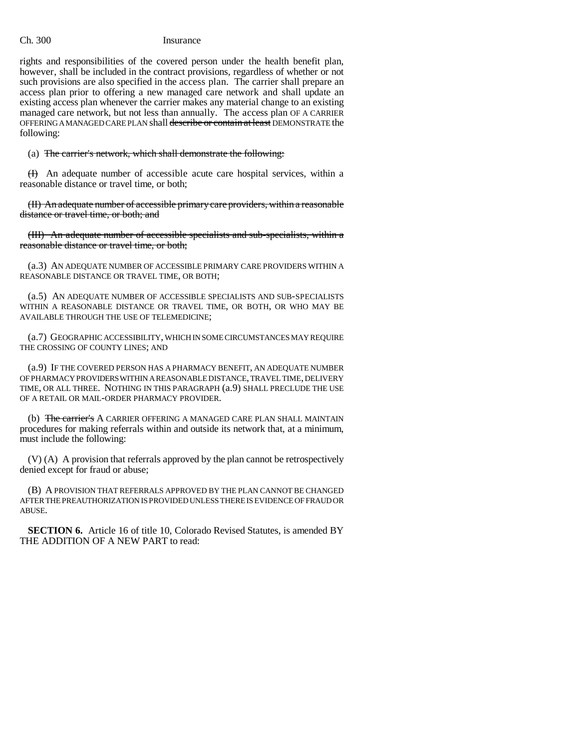rights and responsibilities of the covered person under the health benefit plan, however, shall be included in the contract provisions, regardless of whether or not such provisions are also specified in the access plan. The carrier shall prepare an access plan prior to offering a new managed care network and shall update an existing access plan whenever the carrier makes any material change to an existing managed care network, but not less than annually. The access plan OF A CARRIER OFFERING A MANAGED CARE PLAN shall describe or contain at least DEMONSTRATE the following:

# (a) The carrier's network, which shall demonstrate the following:

 $(H)$  An adequate number of accessible acute care hospital services, within a reasonable distance or travel time, or both;

(II) An adequate number of accessible primary care providers, within a reasonable distance or travel time, or both; and

(III) An adequate number of accessible specialists and sub-specialists, within a reasonable distance or travel time, or both;

(a.3) AN ADEQUATE NUMBER OF ACCESSIBLE PRIMARY CARE PROVIDERS WITHIN A REASONABLE DISTANCE OR TRAVEL TIME, OR BOTH;

(a.5) AN ADEQUATE NUMBER OF ACCESSIBLE SPECIALISTS AND SUB-SPECIALISTS WITHIN A REASONABLE DISTANCE OR TRAVEL TIME, OR BOTH, OR WHO MAY BE AVAILABLE THROUGH THE USE OF TELEMEDICINE;

(a.7) GEOGRAPHIC ACCESSIBILITY, WHICH IN SOME CIRCUMSTANCES MAY REQUIRE THE CROSSING OF COUNTY LINES; AND

(a.9) IF THE COVERED PERSON HAS A PHARMACY BENEFIT, AN ADEQUATE NUMBER OF PHARMACY PROVIDERS WITHIN A REASONABLE DISTANCE, TRAVEL TIME, DELIVERY TIME, OR ALL THREE. NOTHING IN THIS PARAGRAPH (a.9) SHALL PRECLUDE THE USE OF A RETAIL OR MAIL-ORDER PHARMACY PROVIDER.

(b) The carrier's A CARRIER OFFERING A MANAGED CARE PLAN SHALL MAINTAIN procedures for making referrals within and outside its network that, at a minimum, must include the following:

(V) (A) A provision that referrals approved by the plan cannot be retrospectively denied except for fraud or abuse;

(B) A PROVISION THAT REFERRALS APPROVED BY THE PLAN CANNOT BE CHANGED AFTER THE PREAUTHORIZATION IS PROVIDED UNLESS THERE IS EVIDENCE OF FRAUD OR ABUSE.

**SECTION 6.** Article 16 of title 10, Colorado Revised Statutes, is amended BY THE ADDITION OF A NEW PART to read: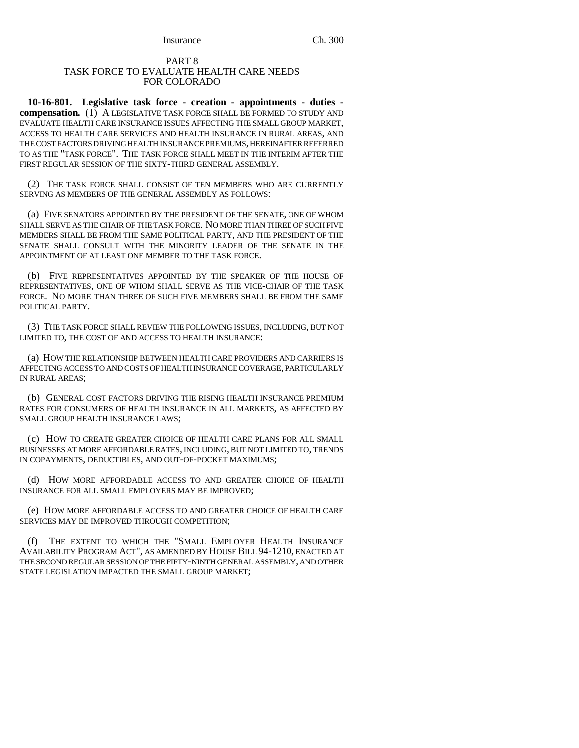### PART 8 TASK FORCE TO EVALUATE HEALTH CARE NEEDS FOR COLORADO

**10-16-801. Legislative task force - creation - appointments - duties compensation.** (1) A LEGISLATIVE TASK FORCE SHALL BE FORMED TO STUDY AND EVALUATE HEALTH CARE INSURANCE ISSUES AFFECTING THE SMALL GROUP MARKET, ACCESS TO HEALTH CARE SERVICES AND HEALTH INSURANCE IN RURAL AREAS, AND THE COST FACTORS DRIVING HEALTH INSURANCE PREMIUMS, HEREINAFTER REFERRED TO AS THE "TASK FORCE". THE TASK FORCE SHALL MEET IN THE INTERIM AFTER THE FIRST REGULAR SESSION OF THE SIXTY-THIRD GENERAL ASSEMBLY.

(2) THE TASK FORCE SHALL CONSIST OF TEN MEMBERS WHO ARE CURRENTLY SERVING AS MEMBERS OF THE GENERAL ASSEMBLY AS FOLLOWS:

(a) FIVE SENATORS APPOINTED BY THE PRESIDENT OF THE SENATE, ONE OF WHOM SHALL SERVE AS THE CHAIR OF THE TASK FORCE. NO MORE THAN THREE OF SUCH FIVE MEMBERS SHALL BE FROM THE SAME POLITICAL PARTY, AND THE PRESIDENT OF THE SENATE SHALL CONSULT WITH THE MINORITY LEADER OF THE SENATE IN THE APPOINTMENT OF AT LEAST ONE MEMBER TO THE TASK FORCE.

(b) FIVE REPRESENTATIVES APPOINTED BY THE SPEAKER OF THE HOUSE OF REPRESENTATIVES, ONE OF WHOM SHALL SERVE AS THE VICE-CHAIR OF THE TASK FORCE. NO MORE THAN THREE OF SUCH FIVE MEMBERS SHALL BE FROM THE SAME POLITICAL PARTY.

(3) THE TASK FORCE SHALL REVIEW THE FOLLOWING ISSUES, INCLUDING, BUT NOT LIMITED TO, THE COST OF AND ACCESS TO HEALTH INSURANCE:

(a) HOW THE RELATIONSHIP BETWEEN HEALTH CARE PROVIDERS AND CARRIERS IS AFFECTING ACCESS TO AND COSTS OF HEALTH INSURANCE COVERAGE, PARTICULARLY IN RURAL AREAS;

(b) GENERAL COST FACTORS DRIVING THE RISING HEALTH INSURANCE PREMIUM RATES FOR CONSUMERS OF HEALTH INSURANCE IN ALL MARKETS, AS AFFECTED BY SMALL GROUP HEALTH INSURANCE LAWS;

(c) HOW TO CREATE GREATER CHOICE OF HEALTH CARE PLANS FOR ALL SMALL BUSINESSES AT MORE AFFORDABLE RATES, INCLUDING, BUT NOT LIMITED TO, TRENDS IN COPAYMENTS, DEDUCTIBLES, AND OUT-OF-POCKET MAXIMUMS;

(d) HOW MORE AFFORDABLE ACCESS TO AND GREATER CHOICE OF HEALTH INSURANCE FOR ALL SMALL EMPLOYERS MAY BE IMPROVED;

(e) HOW MORE AFFORDABLE ACCESS TO AND GREATER CHOICE OF HEALTH CARE SERVICES MAY BE IMPROVED THROUGH COMPETITION;

(f) THE EXTENT TO WHICH THE "SMALL EMPLOYER HEALTH INSURANCE AVAILABILITY PROGRAM ACT", AS AMENDED BY HOUSE BILL 94-1210, ENACTED AT THE SECOND REGULAR SESSION OF THE FIFTY-NINTH GENERAL ASSEMBLY, AND OTHER STATE LEGISLATION IMPACTED THE SMALL GROUP MARKET;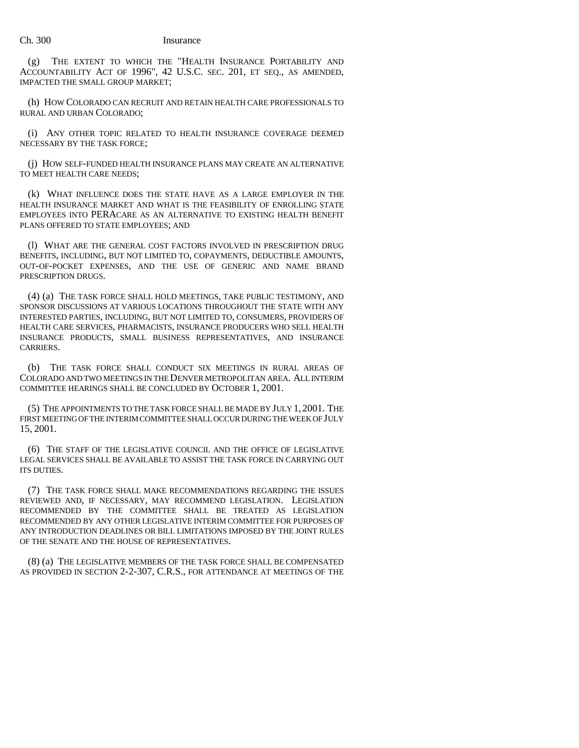(g) THE EXTENT TO WHICH THE "HEALTH INSURANCE PORTABILITY AND ACCOUNTABILITY ACT OF 1996", 42 U.S.C. SEC. 201, ET SEQ., AS AMENDED, IMPACTED THE SMALL GROUP MARKET;

(h) HOW COLORADO CAN RECRUIT AND RETAIN HEALTH CARE PROFESSIONALS TO RURAL AND URBAN COLORADO;

(i) ANY OTHER TOPIC RELATED TO HEALTH INSURANCE COVERAGE DEEMED NECESSARY BY THE TASK FORCE;

(j) HOW SELF-FUNDED HEALTH INSURANCE PLANS MAY CREATE AN ALTERNATIVE TO MEET HEALTH CARE NEEDS;

(k) WHAT INFLUENCE DOES THE STATE HAVE AS A LARGE EMPLOYER IN THE HEALTH INSURANCE MARKET AND WHAT IS THE FEASIBILITY OF ENROLLING STATE EMPLOYEES INTO PERACARE AS AN ALTERNATIVE TO EXISTING HEALTH BENEFIT PLANS OFFERED TO STATE EMPLOYEES; AND

(l) WHAT ARE THE GENERAL COST FACTORS INVOLVED IN PRESCRIPTION DRUG BENEFITS, INCLUDING, BUT NOT LIMITED TO, COPAYMENTS, DEDUCTIBLE AMOUNTS, OUT-OF-POCKET EXPENSES, AND THE USE OF GENERIC AND NAME BRAND PRESCRIPTION DRUGS.

(4) (a) THE TASK FORCE SHALL HOLD MEETINGS, TAKE PUBLIC TESTIMONY, AND SPONSOR DISCUSSIONS AT VARIOUS LOCATIONS THROUGHOUT THE STATE WITH ANY INTERESTED PARTIES, INCLUDING, BUT NOT LIMITED TO, CONSUMERS, PROVIDERS OF HEALTH CARE SERVICES, PHARMACISTS, INSURANCE PRODUCERS WHO SELL HEALTH INSURANCE PRODUCTS, SMALL BUSINESS REPRESENTATIVES, AND INSURANCE CARRIERS.

(b) THE TASK FORCE SHALL CONDUCT SIX MEETINGS IN RURAL AREAS OF COLORADO AND TWO MEETINGS IN THE DENVER METROPOLITAN AREA. ALL INTERIM COMMITTEE HEARINGS SHALL BE CONCLUDED BY OCTOBER 1, 2001.

(5) THE APPOINTMENTS TO THE TASK FORCE SHALL BE MADE BY JULY 1, 2001. THE FIRST MEETING OF THE INTERIM COMMITTEE SHALL OCCUR DURING THE WEEK OF JULY 15, 2001.

(6) THE STAFF OF THE LEGISLATIVE COUNCIL AND THE OFFICE OF LEGISLATIVE LEGAL SERVICES SHALL BE AVAILABLE TO ASSIST THE TASK FORCE IN CARRYING OUT ITS DUTIES.

(7) THE TASK FORCE SHALL MAKE RECOMMENDATIONS REGARDING THE ISSUES REVIEWED AND, IF NECESSARY, MAY RECOMMEND LEGISLATION. LEGISLATION RECOMMENDED BY THE COMMITTEE SHALL BE TREATED AS LEGISLATION RECOMMENDED BY ANY OTHER LEGISLATIVE INTERIM COMMITTEE FOR PURPOSES OF ANY INTRODUCTION DEADLINES OR BILL LIMITATIONS IMPOSED BY THE JOINT RULES OF THE SENATE AND THE HOUSE OF REPRESENTATIVES.

(8) (a) THE LEGISLATIVE MEMBERS OF THE TASK FORCE SHALL BE COMPENSATED AS PROVIDED IN SECTION 2-2-307, C.R.S., FOR ATTENDANCE AT MEETINGS OF THE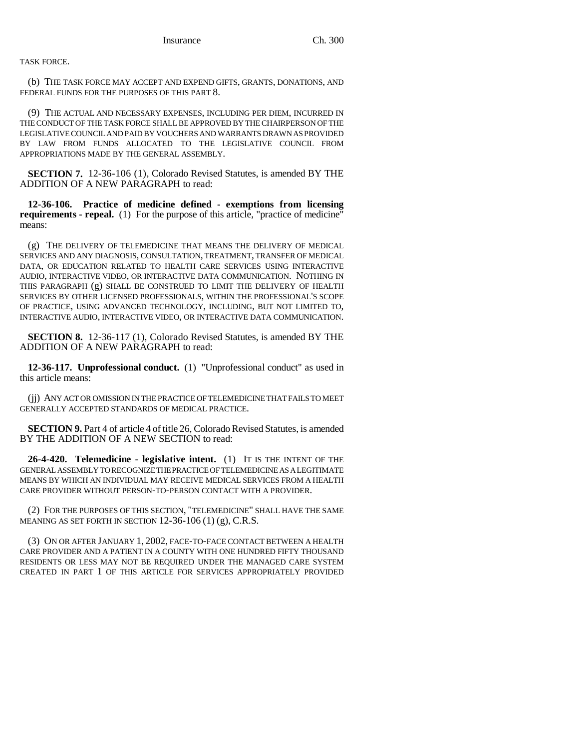TASK FORCE.

(b) THE TASK FORCE MAY ACCEPT AND EXPEND GIFTS, GRANTS, DONATIONS, AND FEDERAL FUNDS FOR THE PURPOSES OF THIS PART 8.

(9) THE ACTUAL AND NECESSARY EXPENSES, INCLUDING PER DIEM, INCURRED IN THE CONDUCT OF THE TASK FORCE SHALL BE APPROVED BY THE CHAIRPERSON OF THE LEGISLATIVE COUNCIL AND PAID BY VOUCHERS AND WARRANTS DRAWN AS PROVIDED BY LAW FROM FUNDS ALLOCATED TO THE LEGISLATIVE COUNCIL FROM APPROPRIATIONS MADE BY THE GENERAL ASSEMBLY.

**SECTION 7.** 12-36-106 (1), Colorado Revised Statutes, is amended BY THE ADDITION OF A NEW PARAGRAPH to read:

**12-36-106. Practice of medicine defined - exemptions from licensing requirements - repeal.** (1) For the purpose of this article, "practice of medicine" means:

(g) THE DELIVERY OF TELEMEDICINE THAT MEANS THE DELIVERY OF MEDICAL SERVICES AND ANY DIAGNOSIS, CONSULTATION, TREATMENT, TRANSFER OF MEDICAL DATA, OR EDUCATION RELATED TO HEALTH CARE SERVICES USING INTERACTIVE AUDIO, INTERACTIVE VIDEO, OR INTERACTIVE DATA COMMUNICATION. NOTHING IN THIS PARAGRAPH (g) SHALL BE CONSTRUED TO LIMIT THE DELIVERY OF HEALTH SERVICES BY OTHER LICENSED PROFESSIONALS, WITHIN THE PROFESSIONAL'S SCOPE OF PRACTICE, USING ADVANCED TECHNOLOGY, INCLUDING, BUT NOT LIMITED TO, INTERACTIVE AUDIO, INTERACTIVE VIDEO, OR INTERACTIVE DATA COMMUNICATION.

**SECTION 8.** 12-36-117 (1), Colorado Revised Statutes, is amended BY THE ADDITION OF A NEW PARAGRAPH to read:

**12-36-117. Unprofessional conduct.** (1) "Unprofessional conduct" as used in this article means:

(jj) ANY ACT OR OMISSION IN THE PRACTICE OF TELEMEDICINE THAT FAILS TO MEET GENERALLY ACCEPTED STANDARDS OF MEDICAL PRACTICE.

**SECTION 9.** Part 4 of article 4 of title 26, Colorado Revised Statutes, is amended BY THE ADDITION OF A NEW SECTION to read:

**26-4-420. Telemedicine - legislative intent.** (1) IT IS THE INTENT OF THE GENERAL ASSEMBLY TO RECOGNIZE THE PRACTICE OF TELEMEDICINE AS A LEGITIMATE MEANS BY WHICH AN INDIVIDUAL MAY RECEIVE MEDICAL SERVICES FROM A HEALTH CARE PROVIDER WITHOUT PERSON-TO-PERSON CONTACT WITH A PROVIDER.

(2) FOR THE PURPOSES OF THIS SECTION, "TELEMEDICINE" SHALL HAVE THE SAME MEANING AS SET FORTH IN SECTION  $12-36-106(1)(9)$ , C.R.S.

(3) ON OR AFTER JANUARY 1, 2002, FACE-TO-FACE CONTACT BETWEEN A HEALTH CARE PROVIDER AND A PATIENT IN A COUNTY WITH ONE HUNDRED FIFTY THOUSAND RESIDENTS OR LESS MAY NOT BE REQUIRED UNDER THE MANAGED CARE SYSTEM CREATED IN PART 1 OF THIS ARTICLE FOR SERVICES APPROPRIATELY PROVIDED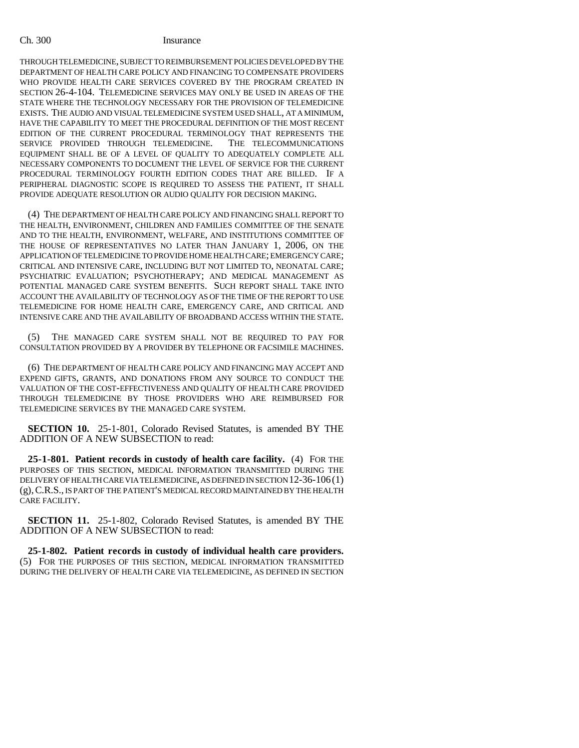THROUGH TELEMEDICINE, SUBJECT TO REIMBURSEMENT POLICIES DEVELOPED BY THE DEPARTMENT OF HEALTH CARE POLICY AND FINANCING TO COMPENSATE PROVIDERS WHO PROVIDE HEALTH CARE SERVICES COVERED BY THE PROGRAM CREATED IN SECTION 26-4-104. TELEMEDICINE SERVICES MAY ONLY BE USED IN AREAS OF THE STATE WHERE THE TECHNOLOGY NECESSARY FOR THE PROVISION OF TELEMEDICINE EXISTS. THE AUDIO AND VISUAL TELEMEDICINE SYSTEM USED SHALL, AT A MINIMUM, HAVE THE CAPABILITY TO MEET THE PROCEDURAL DEFINITION OF THE MOST RECENT EDITION OF THE CURRENT PROCEDURAL TERMINOLOGY THAT REPRESENTS THE SERVICE PROVIDED THROUGH TELEMEDICINE. THE TELECOMMUNICATIONS EQUIPMENT SHALL BE OF A LEVEL OF QUALITY TO ADEQUATELY COMPLETE ALL NECESSARY COMPONENTS TO DOCUMENT THE LEVEL OF SERVICE FOR THE CURRENT PROCEDURAL TERMINOLOGY FOURTH EDITION CODES THAT ARE BILLED. IF A PERIPHERAL DIAGNOSTIC SCOPE IS REQUIRED TO ASSESS THE PATIENT, IT SHALL PROVIDE ADEQUATE RESOLUTION OR AUDIO QUALITY FOR DECISION MAKING.

(4) THE DEPARTMENT OF HEALTH CARE POLICY AND FINANCING SHALL REPORT TO THE HEALTH, ENVIRONMENT, CHILDREN AND FAMILIES COMMITTEE OF THE SENATE AND TO THE HEALTH, ENVIRONMENT, WELFARE, AND INSTITUTIONS COMMITTEE OF THE HOUSE OF REPRESENTATIVES NO LATER THAN JANUARY 1, 2006, ON THE APPLICATION OF TELEMEDICINE TO PROVIDE HOME HEALTH CARE; EMERGENCY CARE; CRITICAL AND INTENSIVE CARE, INCLUDING BUT NOT LIMITED TO, NEONATAL CARE; PSYCHIATRIC EVALUATION; PSYCHOTHERAPY; AND MEDICAL MANAGEMENT AS POTENTIAL MANAGED CARE SYSTEM BENEFITS. SUCH REPORT SHALL TAKE INTO ACCOUNT THE AVAILABILITY OF TECHNOLOGY AS OF THE TIME OF THE REPORT TO USE TELEMEDICINE FOR HOME HEALTH CARE, EMERGENCY CARE, AND CRITICAL AND INTENSIVE CARE AND THE AVAILABILITY OF BROADBAND ACCESS WITHIN THE STATE.

(5) THE MANAGED CARE SYSTEM SHALL NOT BE REQUIRED TO PAY FOR CONSULTATION PROVIDED BY A PROVIDER BY TELEPHONE OR FACSIMILE MACHINES.

(6) THE DEPARTMENT OF HEALTH CARE POLICY AND FINANCING MAY ACCEPT AND EXPEND GIFTS, GRANTS, AND DONATIONS FROM ANY SOURCE TO CONDUCT THE VALUATION OF THE COST-EFFECTIVENESS AND QUALITY OF HEALTH CARE PROVIDED THROUGH TELEMEDICINE BY THOSE PROVIDERS WHO ARE REIMBURSED FOR TELEMEDICINE SERVICES BY THE MANAGED CARE SYSTEM.

**SECTION 10.** 25-1-801, Colorado Revised Statutes, is amended BY THE ADDITION OF A NEW SUBSECTION to read:

**25-1-801. Patient records in custody of health care facility.** (4) FOR THE PURPOSES OF THIS SECTION, MEDICAL INFORMATION TRANSMITTED DURING THE DELIVERY OF HEALTH CARE VIA TELEMEDICINE, AS DEFINED IN SECTION 12-36-106(1) (g),C.R.S., IS PART OF THE PATIENT'S MEDICAL RECORD MAINTAINED BY THE HEALTH CARE FACILITY.

**SECTION 11.** 25-1-802, Colorado Revised Statutes, is amended BY THE ADDITION OF A NEW SUBSECTION to read:

**25-1-802. Patient records in custody of individual health care providers.** (5) FOR THE PURPOSES OF THIS SECTION, MEDICAL INFORMATION TRANSMITTED DURING THE DELIVERY OF HEALTH CARE VIA TELEMEDICINE, AS DEFINED IN SECTION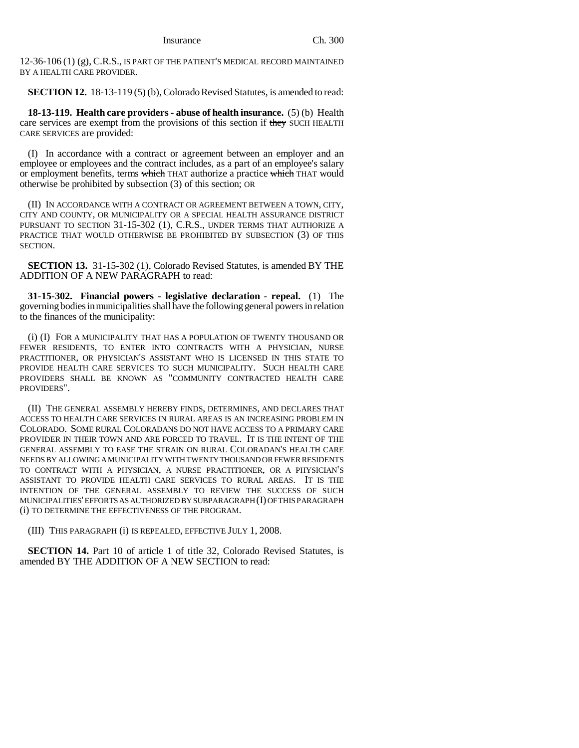12-36-106 (1) (g), C.R.S., IS PART OF THE PATIENT'S MEDICAL RECORD MAINTAINED BY A HEALTH CARE PROVIDER.

**SECTION 12.** 18-13-119 (5) (b), Colorado Revised Statutes, is amended to read:

**18-13-119. Health care providers - abuse of health insurance.** (5) (b) Health care services are exempt from the provisions of this section if they SUCH HEALTH CARE SERVICES are provided:

(I) In accordance with a contract or agreement between an employer and an employee or employees and the contract includes, as a part of an employee's salary or employment benefits, terms which THAT authorize a practice which THAT would otherwise be prohibited by subsection (3) of this section; OR

(II) IN ACCORDANCE WITH A CONTRACT OR AGREEMENT BETWEEN A TOWN, CITY, CITY AND COUNTY, OR MUNICIPALITY OR A SPECIAL HEALTH ASSURANCE DISTRICT PURSUANT TO SECTION 31-15-302 (1), C.R.S., UNDER TERMS THAT AUTHORIZE A PRACTICE THAT WOULD OTHERWISE BE PROHIBITED BY SUBSECTION (3) OF THIS SECTION.

**SECTION 13.** 31-15-302 (1), Colorado Revised Statutes, is amended BY THE ADDITION OF A NEW PARAGRAPH to read:

**31-15-302. Financial powers - legislative declaration - repeal.** (1) The governing bodies in municipalities shall have the following general powers in relation to the finances of the municipality:

(i) (I) FOR A MUNICIPALITY THAT HAS A POPULATION OF TWENTY THOUSAND OR FEWER RESIDENTS, TO ENTER INTO CONTRACTS WITH A PHYSICIAN, NURSE PRACTITIONER, OR PHYSICIAN'S ASSISTANT WHO IS LICENSED IN THIS STATE TO PROVIDE HEALTH CARE SERVICES TO SUCH MUNICIPALITY. SUCH HEALTH CARE PROVIDERS SHALL BE KNOWN AS "COMMUNITY CONTRACTED HEALTH CARE PROVIDERS".

(II) THE GENERAL ASSEMBLY HEREBY FINDS, DETERMINES, AND DECLARES THAT ACCESS TO HEALTH CARE SERVICES IN RURAL AREAS IS AN INCREASING PROBLEM IN COLORADO. SOME RURAL COLORADANS DO NOT HAVE ACCESS TO A PRIMARY CARE PROVIDER IN THEIR TOWN AND ARE FORCED TO TRAVEL. IT IS THE INTENT OF THE GENERAL ASSEMBLY TO EASE THE STRAIN ON RURAL COLORADAN'S HEALTH CARE NEEDS BY ALLOWING A MUNICIPALITY WITH TWENTY THOUSAND OR FEWER RESIDENTS TO CONTRACT WITH A PHYSICIAN, A NURSE PRACTITIONER, OR A PHYSICIAN'S ASSISTANT TO PROVIDE HEALTH CARE SERVICES TO RURAL AREAS. IT IS THE INTENTION OF THE GENERAL ASSEMBLY TO REVIEW THE SUCCESS OF SUCH MUNICIPALITIES' EFFORTS AS AUTHORIZED BY SUBPARAGRAPH (I) OF THIS PARAGRAPH (i) TO DETERMINE THE EFFECTIVENESS OF THE PROGRAM.

(III) THIS PARAGRAPH (i) IS REPEALED, EFFECTIVE JULY 1, 2008.

**SECTION 14.** Part 10 of article 1 of title 32, Colorado Revised Statutes, is amended BY THE ADDITION OF A NEW SECTION to read: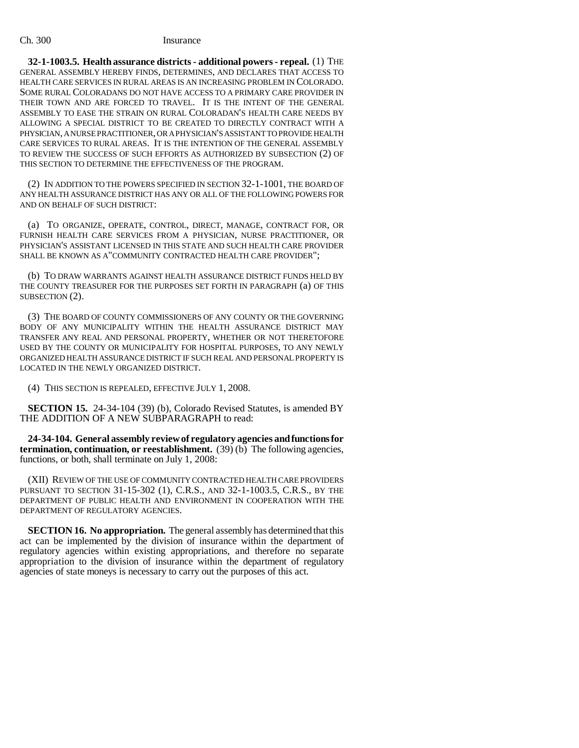**32-1-1003.5. Health assurance districts - additional powers - repeal.** (1) THE GENERAL ASSEMBLY HEREBY FINDS, DETERMINES, AND DECLARES THAT ACCESS TO HEALTH CARE SERVICES IN RURAL AREAS IS AN INCREASING PROBLEM IN COLORADO. SOME RURAL COLORADANS DO NOT HAVE ACCESS TO A PRIMARY CARE PROVIDER IN THEIR TOWN AND ARE FORCED TO TRAVEL. IT IS THE INTENT OF THE GENERAL ASSEMBLY TO EASE THE STRAIN ON RURAL COLORADAN'S HEALTH CARE NEEDS BY ALLOWING A SPECIAL DISTRICT TO BE CREATED TO DIRECTLY CONTRACT WITH A PHYSICIAN, A NURSE PRACTITIONER, OR A PHYSICIAN'S ASSISTANT TO PROVIDE HEALTH CARE SERVICES TO RURAL AREAS. IT IS THE INTENTION OF THE GENERAL ASSEMBLY TO REVIEW THE SUCCESS OF SUCH EFFORTS AS AUTHORIZED BY SUBSECTION (2) OF THIS SECTION TO DETERMINE THE EFFECTIVENESS OF THE PROGRAM.

(2) IN ADDITION TO THE POWERS SPECIFIED IN SECTION 32-1-1001, THE BOARD OF ANY HEALTH ASSURANCE DISTRICT HAS ANY OR ALL OF THE FOLLOWING POWERS FOR AND ON BEHALF OF SUCH DISTRICT:

(a) TO ORGANIZE, OPERATE, CONTROL, DIRECT, MANAGE, CONTRACT FOR, OR FURNISH HEALTH CARE SERVICES FROM A PHYSICIAN, NURSE PRACTITIONER, OR PHYSICIAN'S ASSISTANT LICENSED IN THIS STATE AND SUCH HEALTH CARE PROVIDER SHALL BE KNOWN AS A"COMMUNITY CONTRACTED HEALTH CARE PROVIDER";

(b) TO DRAW WARRANTS AGAINST HEALTH ASSURANCE DISTRICT FUNDS HELD BY THE COUNTY TREASURER FOR THE PURPOSES SET FORTH IN PARAGRAPH (a) OF THIS SUBSECTION (2).

(3) THE BOARD OF COUNTY COMMISSIONERS OF ANY COUNTY OR THE GOVERNING BODY OF ANY MUNICIPALITY WITHIN THE HEALTH ASSURANCE DISTRICT MAY TRANSFER ANY REAL AND PERSONAL PROPERTY, WHETHER OR NOT THERETOFORE USED BY THE COUNTY OR MUNICIPALITY FOR HOSPITAL PURPOSES, TO ANY NEWLY ORGANIZED HEALTH ASSURANCE DISTRICT IF SUCH REAL AND PERSONAL PROPERTY IS LOCATED IN THE NEWLY ORGANIZED DISTRICT.

(4) THIS SECTION IS REPEALED, EFFECTIVE JULY 1, 2008.

**SECTION 15.** 24-34-104 (39) (b), Colorado Revised Statutes, is amended BY THE ADDITION OF A NEW SUBPARAGRAPH to read:

**24-34-104. General assembly review of regulatory agencies and functions for termination, continuation, or reestablishment.** (39) (b) The following agencies, functions, or both, shall terminate on July 1, 2008:

(XII) REVIEW OF THE USE OF COMMUNITY CONTRACTED HEALTH CARE PROVIDERS PURSUANT TO SECTION 31-15-302 (1), C.R.S., AND 32-1-1003.5, C.R.S., BY THE DEPARTMENT OF PUBLIC HEALTH AND ENVIRONMENT IN COOPERATION WITH THE DEPARTMENT OF REGULATORY AGENCIES.

**SECTION 16. No appropriation.** The general assembly has determined that this act can be implemented by the division of insurance within the department of regulatory agencies within existing appropriations, and therefore no separate appropriation to the division of insurance within the department of regulatory agencies of state moneys is necessary to carry out the purposes of this act.